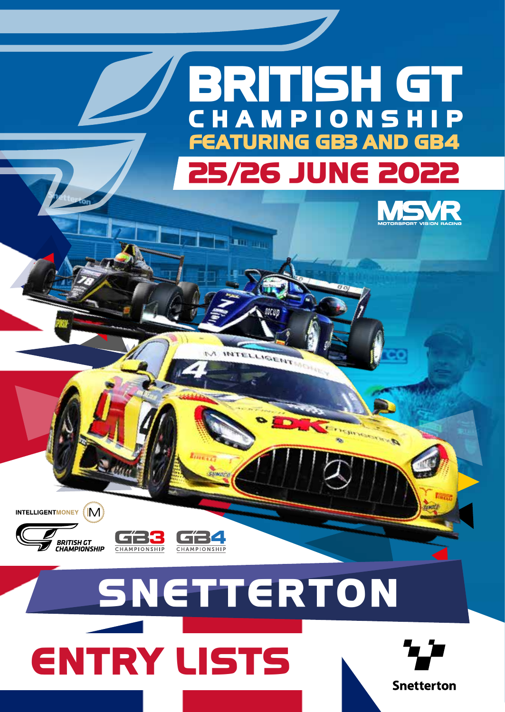# **25/26 JUNE 2022 BRITISH GT CHAMPIONSHI FEATURING GB3 AND GB4**

**ALL CALL** 

**IGENT** 



INTELLIGENTMONEY (IM)



**CHAMPIONSHIP** 

# **SNETTERTON ENTRY LISTS**

**CHAMPIONSHIP** 

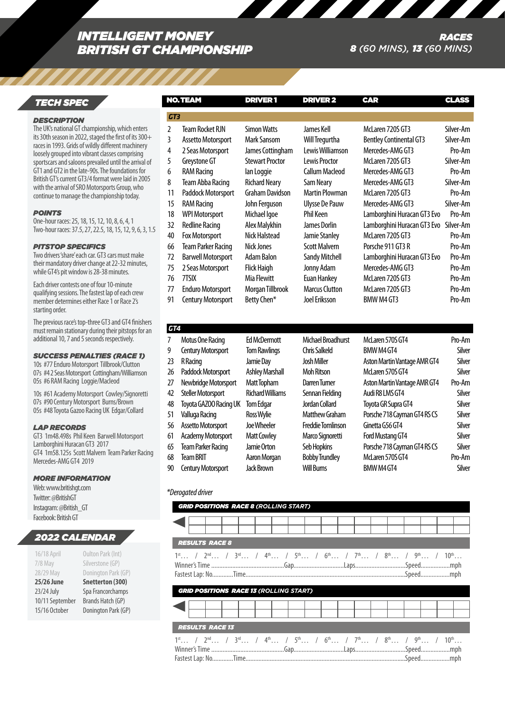# *INTELLIGENT MONEY BRITISH GT CHAMPIONSHIP*

# *RACES 8 (60 MINS), 13 (60 MINS)*

# *TECH SPEC*

#### *DESCRIPTION*

The UK's national GT championship, which enters its 30th season in 2022, staged the first of its 300+ races in 1993. Grids of wildly different machinery loosely grouped into vibrant classes comprising sportscars and saloons prevailed until the arrival of GT1 and GT2 in the late-90s. The foundations for British GT's current GT3/4 format were laid in 2005 with the arrival of SRO Motorsports Group, who continue to manage the championship today.

#### *POINTS*

One-hour races: 25, 18, 15, 12, 10, 8, 6, 4, 1 Two-hour races: 37.5, 27, 22.5, 18, 15, 12, 9, 6, 3, 1.

#### *PITSTOP SPECIFICS*

Two drivers 'share' each car. GT3 cars must make their mandatory driver change at 22-32 minutes, while GT4's pit window is 28-38 minutes.

Each driver contests one of four 10-minute qualifying sessions. The fastest lap of each crew member determines either Race 1 or Race 2's starting order.

The previous race's top-three GT3 and GT4 finishers must remain stationary during their pitstops for an additional 10, 7 and 5 seconds respectively.

# *SUCCESS PENALTIES (RACE 1)*

10s #77 Enduro Motorsport Tillbrook/Clutton 07s #4 2 Seas Motorsport Cottingham/Williamson 05s #6 RAM Racing Loggie/Macleod

10s #61 Academy Motorsport Cowley/Signoretti 07s #90 Century Motorsport Burns/Brown 05s #48 Toyota Gazoo Racing UK Edgar/Collard

#### *LAP RECORDS*

GT3 1m48.498s Phil Keen Barwell Motorsport Lamborghini Huracan GT3 2017 GT4 1m58.125s Scott Malvern Team Parker Racing Mercedes-AMG GT4 2019

# *MORE INFORMATION*

Web: www.britishgt.com Twitter: @BritishGT Instagram: @British\_GT Facebook: British GT

# *2022 CALENDAR*

| 16/18 April     | Oulton Park (Int)   |
|-----------------|---------------------|
| 7/8 May         | Silverstone (GP)    |
| 28/29 May       | Donington Park (GP) |
| 25/26 June      | Snetterton (300)    |
| 23/24 July      | Spa Francorchamps   |
| 10/11 September | Brands Hatch (GP)   |
| 15/16 October   | Donington Park (GP) |

|               | <b>NO. TEAM</b>           | <b>DRIVER 1</b>        | <b>DRIVER 2</b>       | <b>CAR</b>                     | <b>CLASS</b> |
|---------------|---------------------------|------------------------|-----------------------|--------------------------------|--------------|
| GT3           |                           |                        |                       |                                |              |
| $\mathcal{L}$ | <b>Team Rocket RJN</b>    | <b>Simon Watts</b>     | James Kell            | McLaren 720S GT3               | Silver-Am    |
| 3             | Assetto Motorsport        | Mark Sansom            | Will Tregurtha        | <b>Bentley Continental GT3</b> | Silver-Am    |
| 4             | 2 Seas Motorsport         | James Cottingham       | Lewis Williamson      | Mercedes-AMG GT3               | Pro-Am       |
| 5             | Greystone GT              | <b>Stewart Proctor</b> | Lewis Proctor         | McLaren 720S GT3               | Silver-Am    |
| 6             | <b>RAM Racing</b>         | lan Loggie             | <b>Callum Macleod</b> | Mercedes-AMG GT3               | Pro-Am       |
| 8             | Team Abba Racing          | <b>Richard Neary</b>   | Sam Neary             | Mercedes-AMG GT3               | Silver-Am    |
| 11            | Paddock Motorsport        | <b>Graham Davidson</b> | <b>Martin Plowman</b> | McLaren 720S GT3               | Pro-Am       |
| 15            | <b>RAM Racing</b>         | John Ferguson          | <b>Ulysse De Pauw</b> | Mercedes-AMG GT3               | Silver-Am    |
| 18            | <b>WPI Motorsport</b>     | Michael Igoe           | Phil Keen             | Lamborghini Huracan GT3 Evo    | Pro-Am       |
| 32            | <b>Redline Racing</b>     | Alex Malykhin          | James Dorlin          | Lamborghini Huracan GT3 Evo    | Silver-Am    |
| 40            | <b>Fox Motorsport</b>     | Nick Halstead          | Jamie Stanley         | McLaren 720S GT3               | Pro-Am       |
| 66            | <b>Team Parker Racing</b> | <b>Nick Jones</b>      | <b>Scott Malvern</b>  | Porsche 911 GT3 R              | Pro-Am       |
| 72            | <b>Barwell Motorsport</b> | Adam Balon             | <b>Sandy Mitchell</b> | Lamborghini Huracan GT3 Evo    | Pro-Am       |
| 75            | 2 Seas Motorsport         | <b>Flick Haigh</b>     | Jonny Adam            | Mercedes-AMG GT3               | Pro-Am       |
| 76            | 7TSIX                     | Mia Flewitt            | <b>Euan Hankey</b>    | McLaren 720S GT3               | Pro-Am       |
| 77            | <b>Enduro Motorsport</b>  | Morgan Tillbrook       | Marcus Clutton        | McLaren 720S GT3               | Pro-Am       |
| 91            | <b>Century Motorsport</b> | Betty Chen*            | Joel Eriksson         | BMW M4 GT3                     | Pro-Am       |

| 7  | Motus One Racing          | <b>Ed McDermott</b>     | Michael Broadhurst       | McLaren 570S GT4             | Pro-Am |
|----|---------------------------|-------------------------|--------------------------|------------------------------|--------|
| 9  | <b>Century Motorsport</b> | <b>Tom Rawlings</b>     | <b>Chris Salkeld</b>     | BMW M4 GT4                   | Silver |
| 23 | R Racing                  | Jamie Dav               | Josh Miller              | Aston Martin Vantage AMR GT4 | Silver |
| 26 | Paddock Motorsport        | <b>Ashley Marshall</b>  | <b>Moh Ritson</b>        | McLaren 570S GT4             | Silver |
| 27 | Newbridge Motorsport      | Matt Topham             | Darren Turner            | Aston Martin Vantage AMR GT4 | Pro-Am |
| 42 | <b>Steller Motorsport</b> | <b>Richard Williams</b> | Sennan Fielding          | Audi R81 MS GT4              | Silver |
| 48 | Toyota GAZOO Racing UK    | <b>Tom Edgar</b>        | Jordan Collard           | Toyota GR Supra GT4          | Silver |
| 51 | Valluga Racing            | Ross Wylie              | Matthew Graham           | Porsche 718 Cayman GT4 RS CS | Silver |
| 56 | Assetto Motorsport        | loe Wheeler             | <b>Freddie Tomlinson</b> | Ginetta G56 GT4              | Silver |
| 61 | <b>Academy Motorsport</b> | <b>Matt Cowley</b>      | Marco Signoretti         | Ford Mustang GT4             | Silver |
| 65 | <b>Team Parker Racing</b> | Jamie Orton             | Seb Hopkins              | Porsche 718 Cayman GT4 RS CS | Silver |
| 68 | <b>Team BRIT</b>          | Aaron Morgan            | <b>Bobby Trundley</b>    | McLaren 570S GT4             | Pro-Am |
| 90 | <b>Century Motorsport</b> | <b>Jack Brown</b>       | <b>Will Burns</b>        | BMW M4 GT4                   | Silver |
|    |                           |                         |                          |                              |        |

# *\*Derogated driver*

*GT4*

| <b>GRID POSITIONS RACE 8 (ROLLING START)</b>                                                                                                                                                                                        |  |
|-------------------------------------------------------------------------------------------------------------------------------------------------------------------------------------------------------------------------------------|--|
|                                                                                                                                                                                                                                     |  |
| <b>RESULTS RACE 8</b>                                                                                                                                                                                                               |  |
| $1^{\text{st}}$ / $2^{\text{nd}}$ / $3^{\text{rd}}$ / $4^{\text{th}}$ / $5^{\text{th}}$ / $6^{\text{th}}$ / $7^{\text{th}}$ / $8^{\text{th}}$ / $9^{\text{th}}$ / $10^{\text{th}}$<br><b>GRID POSITIONS RACE 13 (ROLLING START)</b> |  |
| <b>RESULTS RACE 13</b>                                                                                                                                                                                                              |  |
| $1^{\text{st}}$ / $2^{\text{nd}}$ / $3^{\text{rd}}$ / $4^{\text{th}}$ / $5^{\text{th}}$ / $6^{\text{th}}$ / $7^{\text{th}}$ / $8^{\text{th}}$ / $9^{\text{th}}$ / $10^{\text{th}}$                                                  |  |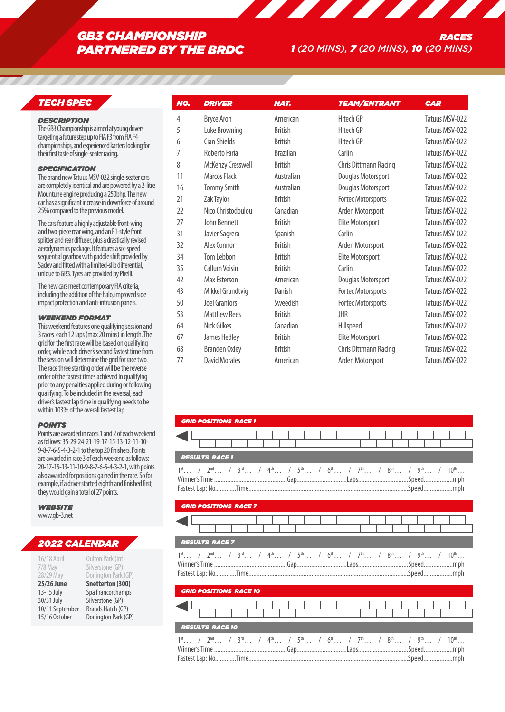# *GB3 CHAMPIONSHIP PARTNERED BY THE BRDC*

# *TECH SPEC*

# *DESCRIPTION*

The GB3 Championship is aimed at young drivers targeting a future step up to FIA F3 from FIA F4 championships, and experienced karters looking for their first taste of single-seater racing.

# *SPECIFICATION*

The brand new Tatuus MSV-022 single-seater cars are completely identical and are powered by a 2-litre Mountune engine producing a 250bhp. The new car has a significant increase in downforce of around 25% compared to the previous model.

The cars feature a highly adjustable front-wing and two-piece rear wing, and an F1-style front splitter and rear diffuser, plus a drastically revised aerodynamics package. It features a six-speed sequential gearbox with paddle shift provided by Sadev and fitted with a limited-slip differential, unique to GB3. Tyres are provided by Pirelli.

The new cars meet contemporary FIA criteria, including the addition of the halo, improved side impact protection and anti-intrusion panels.

#### *WEEKEND FORMAT*

This weekend features one qualifying session and 3 races each 12 laps (max 20 mins) in length. The grid for the first race will be based on qualifying order, while each driver's second fastest time from the session will determine the grid for race two. The race three starting order will be the reverse order of the fastest times achieved in qualifying prior to any penalties applied during or following qualifying. To be included in the reversal, each driver's fastest lap time in qualifying needs to be within 103% of the overall fastest lap.

#### *POINTS*

Points are awarded in races 1 and 2 of each weekend as follows: 35-29-24-21-19-17-15-13-12-11-10- 9-8-7-6-5-4-3-2-1 to the top 20 finishers. Points are awarded in race 3 of each weekend as follows: 20-17-15-13-11-10-9-8-7-6-5-4-3-2-1, with points also awarded for positions gained in the race. So for example, if a driver started eighth and finished first, they would gain a total of 27 points.

#### *WEBSITE* www.gb-3.net

# *2022 CALENDAR*

| 16/18 April<br>7/8 May<br>28/29 May | Oulton Park (Int)<br>Silverstone (GP)<br>Donington Park (GP) |
|-------------------------------------|--------------------------------------------------------------|
| 25/26 June                          | Snetterton (300)                                             |
| 13-15 July                          | Spa Francorchamps                                            |
| 30/31 July                          | Silverstone (GP)                                             |
| 10/11 September                     | Brands Hatch (GP)                                            |
| 15/16 October                       | Donington Park (GP)                                          |

| NO. | <b>DRIVER</b>        | <b>NAT.</b>      | <b>TEAM/ENTRANT</b>       | <b>CAR</b>     |
|-----|----------------------|------------------|---------------------------|----------------|
|     |                      |                  |                           |                |
| 4   | <b>Bryce Aron</b>    | American         | Hitech GP                 | Tatuus MSV-022 |
| 5   | Luke Browning        | <b>British</b>   | Hitech GP                 | Tatuus MSV-022 |
| 6   | <b>Cian Shields</b>  | <b>British</b>   | Hitech GP                 | Tatuus MSV-022 |
| 7   | Roberto Faria        | <b>Brazilian</b> | Carlin                    | Tatuus MSV-022 |
| 8   | McKenzy Cresswell    | <b>British</b>   | Chris Dittmann Racing     | Tatuus MSV-022 |
| 11  | Marcos Flack         | Australian       | Douglas Motorsport        | Tatuus MSV-022 |
| 16  | <b>Tommy Smith</b>   | Australian       | Douglas Motorsport        | Tatuus MSV-022 |
| 21  | Zak Taylor           | <b>British</b>   | <b>Fortec Motorsports</b> | Tatuus MSV-022 |
| 22  | Nico Christodoulou   | Canadian         | Arden Motorsport          | Tatuus MSV-022 |
| 27  | John Bennett         | <b>British</b>   | Elite Motorsport          | Tatuus MSV-022 |
| 31  | Javier Sagrera       | Spanish          | Carlin                    | Tatuus MSV-022 |
| 32  | Alex Connor          | <b>British</b>   | Arden Motorsport          | Tatuus MSV-022 |
| 34  | Tom Lebbon           | <b>British</b>   | Elite Motorsport          | Tatuus MSV-022 |
| 35  | <b>Callum Voisin</b> | <b>British</b>   | Carlin                    | Tatuus MSV-022 |
| 42  | Max Esterson         | American         | Douglas Motorsport        | Tatuus MSV-022 |
| 43  | Mikkel Grundtvig     | Danish           | <b>Fortec Motorsports</b> | Tatuus MSV-022 |
| 50  | Joel Granfors        | Sweedish         | <b>Fortec Motorsports</b> | Tatuus MSV-022 |
| 53  | <b>Matthew Rees</b>  | <b>British</b>   | <b>JHR</b>                | Tatuus MSV-022 |
| 64  | <b>Nick Gilkes</b>   | Canadian         | Hillspeed                 | Tatuus MSV-022 |
| 67  | James Hedley         | <b>British</b>   | Elite Motorsport          | Tatuus MSV-022 |
| 68  | <b>Branden Oxley</b> | <b>British</b>   | Chris Dittmann Racing     | Tatuus MSV-022 |
| 77  | <b>David Morales</b> | American         | Arden Motorsport          | Tatuus MSV-022 |

| <b>GRID POSITIONS RACE 1</b>                                                                                                                                                                                                                                    |
|-----------------------------------------------------------------------------------------------------------------------------------------------------------------------------------------------------------------------------------------------------------------|
|                                                                                                                                                                                                                                                                 |
| <b>RESULTS RACE1</b>                                                                                                                                                                                                                                            |
| $1^{st}$ / $2^{nd}$ / $3^{rd}$ / $4^{th}$ / $5^{th}$ / $6^{th}$ / $7^{th}$ / $8^{th}$ / $9^{th}$ / $10^{th}$<br>Winner's Time …………………………………………Gap……………………………Laps……………………………Speed………………mph                                                                       |
| <b>GRID POSITIONS RACE 7</b>                                                                                                                                                                                                                                    |
|                                                                                                                                                                                                                                                                 |
| <b>RESULTS RACE 7</b>                                                                                                                                                                                                                                           |
| $1^{\text{st}}$ / $2^{\text{nd}}$ / $3^{\text{rd}}$ / $4^{\text{th}}$ / $5^{\text{th}}$ / $6^{\text{th}}$ / $7^{\text{th}}$ / $8^{\text{th}}$ / $9^{\text{th}}$ / $10^{\text{th}}$<br>Winner's Time …………………………………………Gap……………………………Laps……………………………Speed………………mph |
| <b>GRID POSITIONS RACE 10</b>                                                                                                                                                                                                                                   |
|                                                                                                                                                                                                                                                                 |
| <b>RESULTS RACE 10</b>                                                                                                                                                                                                                                          |
| $1^{st}$ / $2^{nd}$ / $3^{rd}$ / $4^{th}$ / $5^{th}$ / $6^{th}$ / $7^{th}$ / $8^{th}$ / $9^{th}$ / $10^{th}$<br>Winner's Time …………………………………………Gap……………………………Laps……………………………Speed………………mph                                                                       |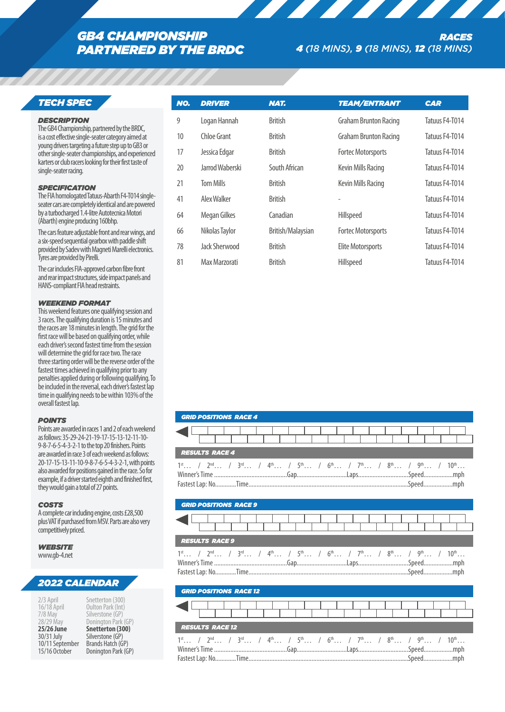# *GB4 CHAMPIONSHIP PARTNERED BY THE BRDC*

# *TECH SPEC*

#### *DESCRIPTION*

The GB4 Championship, partnered by the BRDC, is a cost effective single-seater category aimed at young drivers targeting a future step up to GB3 or other single-seater championships, and experienced karters or club racers looking for their first taste of single-seater racing.

# *SPECIFICATION*

The FIA homologated Tatuus-Abarth F4-T014 singleseater cars are completely identical and are powered by a turbocharged 1.4-litre Autotecnica Motori (Abarth) engine producing 160bhp.

The cars feature adjustable front and rear wings, and a six-speed sequential gearbox with paddle shift provided by Sadev with Magneti Marelli electronics. Tyres are provided by Pirelli.

The car includes FIA-approved carbon fibre front and rear impact structures, side impact panels and HANS-compliant FIA head restraints.

# *WEEKEND FORMAT*

This weekend features one qualifying session and 3 races. The qualifying duration is 15 minutes and the races are 18 minutes in length. The grid for the first race will be based on qualifying order, while each driver's second fastest time from the session will determine the grid for race two. The race three starting order will be the reverse order of the fastest times achieved in qualifying prior to any penalties applied during or following qualifying. To be included in the reversal, each driver's fastest lap time in qualifying needs to be within 103% of the overall fastest lap.

# *POINTS*

Points are awarded in races 1 and 2 of each weekend as follows: 35-29-24-21-19-17-15-13-12-11-10- 9-8-7-6-5-4-3-2-1 to the top 20 finishers. Points are awarded in race 3 of each weekend as follows: 20-17-15-13-11-10-9-8-7-6-5-4-3-2-1, with points also awarded for positions gained in the race. So for example, if a driver started eighth and finished first, they would gain a total of 27 points.

# *COSTS*

A complete car including engine, costs £28,500 plus VAT if purchased from MSV. Parts are also very competitively priced.

#### *WEBSITE* www.gb-4.net

# *2022 CALENDAR*

| 2/3 April         | Snetterton (300)    |
|-------------------|---------------------|
| 16/18 April       | Oulton Park (Int)   |
| $7/8$ May         | Silverstone (GP)    |
| 28/29 May         | Donington Park (GP) |
| <b>25/26 June</b> | Snetterton (300)    |
| 30/31 July        | Silverstone (GP)    |
| 10/11 September   | Brands Hatch (GP)   |
| 15/16 October     | Donington Park (GP) |

| NO. | <b>DRIVER</b>    | <b>NAT.</b>       | <b>TEAM/ENTRANT</b>          | <b>CAR</b>     |
|-----|------------------|-------------------|------------------------------|----------------|
| 9   | Logan Hannah     | <b>British</b>    | <b>Graham Brunton Racing</b> | Tatuus F4-T014 |
| 10  | Chloe Grant      | <b>British</b>    | <b>Graham Brunton Racing</b> | Tatuus F4-T014 |
| 17  | Jessica Edgar    | <b>British</b>    | <b>Fortec Motorsports</b>    | Tatuus F4-T014 |
| 20  | Jarrod Waberski  | South African     | Kevin Mills Racing           | Tatuus F4-T014 |
| 21  | <b>Tom Mills</b> | <b>British</b>    | Kevin Mills Racing           | Tatuus F4-T014 |
| 41  | Alex Walker      | <b>British</b>    |                              | Tatuus F4-T014 |
| 64  | Megan Gilkes     | Canadian          | Hillspeed                    | Tatuus F4-T014 |
| 66  | Nikolas Taylor   | British/Malaysian | <b>Fortec Motorsports</b>    | Tatuus F4-T014 |
| 78  | Jack Sherwood    | <b>British</b>    | <b>Elite Motorsports</b>     | Tatuus F4-T014 |
| 81  | Max Marzorati    | <b>British</b>    | Hillspeed                    | Tatuus F4-T014 |

| <b>GRID POSITIONS RACE 4</b>                                                                                                                                                                                                                                   |
|----------------------------------------------------------------------------------------------------------------------------------------------------------------------------------------------------------------------------------------------------------------|
|                                                                                                                                                                                                                                                                |
| <b>RESULTS RACE 4</b>                                                                                                                                                                                                                                          |
| $1^{\text{st}}$ / $2^{\text{nd}}$ / $3^{\text{rd}}$ / $4^{\text{th}}$ / $5^{\text{th}}$ / $6^{\text{th}}$ / $7^{\text{th}}$ / $8^{\text{th}}$ / $9^{\text{th}}$ / $10^{\text{th}}$<br>Winner's Time …………………………………………Gap…………………………Laps……………………………Speed………………mph |
| <b>GRID POSITIONS RACE 9</b>                                                                                                                                                                                                                                   |
|                                                                                                                                                                                                                                                                |
| <b>RESULTS RACE 9</b>                                                                                                                                                                                                                                          |
|                                                                                                                                                                                                                                                                |
| $1^{\text{st}}$ / $2^{\text{nd}}$ / $3^{\text{rd}}$ / $4^{\text{th}}$ / $5^{\text{th}}$ / $6^{\text{th}}$ / $7^{\text{th}}$ / $8^{\text{th}}$ / $9^{\text{th}}$ / $10^{\text{th}}$                                                                             |
| <b>GRID POSITIONS RACE 12</b>                                                                                                                                                                                                                                  |
|                                                                                                                                                                                                                                                                |
| <b>RESULTS RACE 12</b>                                                                                                                                                                                                                                         |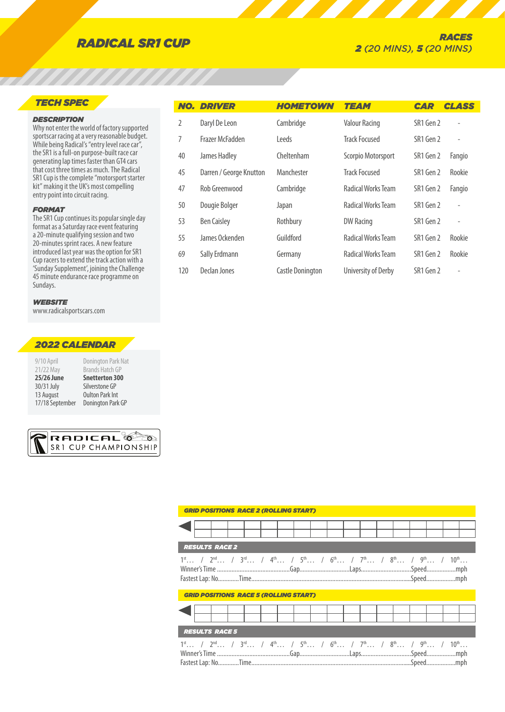# *TECH SPEC*

# *DESCRIPTION*

Why not enter the world of factory supported sportscar racing at a very reasonable budget. While being Radical's "entry level race car", the SR1 is a full-on purpose-built race car generating lap times faster than GT4 cars that cost three times as much. The Radical SR1 Cup is the complete "motorsport starter kit" making it the UK's most compelling entry point into circuit racing.

### *FORMAT*

The SR1 Cup continues its popular single day format as a Saturday race event featuring a 20-minute qualifying session and two 20-minutes sprint races. A new feature introduced last year was the option for SR1 Cup racers to extend the track action with a 'Sunday Supplement', joining the Challenge 45 minute endurance race programme on Sundays.

# *WEBSITE*

www.radicalsportscars.com

# *2022 CALENDAR*

| 9/10 April<br>21/22 May | Donington Park Nat<br>Brands Hatch GP |
|-------------------------|---------------------------------------|
| 25/26 June              | <b>Snetterton 300</b>                 |
| 30/31 July              | Silverstone GP                        |
| 13 August               | <b>Oulton Park Int</b>                |
| 17/18 September         | Donington Park GP                     |



|     | <b>NO. DRIVER</b>       | <b>HOMETOWN</b>         | <b>TEAM</b>          | <b>CAR</b> | <b>CLASS</b>             |
|-----|-------------------------|-------------------------|----------------------|------------|--------------------------|
| 2   | Daryl De Leon           | Cambridge               | <b>Valour Racing</b> | SR1 Gen 2  |                          |
| 7   | Frazer McFadden         | Leeds                   | <b>Track Focused</b> | SR1 Gen 2  | $\overline{a}$           |
| 40  | James Hadley            | Cheltenham              | Scorpio Motorsport   | SR1 Gen 2  | Fangio                   |
| 45  | Darren / George Knutton | Manchester              | <b>Track Focused</b> | SR1 Gen 2  | Rookie                   |
| 47  | Rob Greenwood           | Cambridge               | Radical Works Team   | SR1 Gen 2  | Fangio                   |
| 50  | Dougie Bolger           | Japan                   | Radical Works Team   | SR1 Gen 2  | $\overline{a}$           |
| 53  | <b>Ben Caisley</b>      | Rothbury                | <b>DW Racing</b>     | SR1 Gen 2  | $\overline{\phantom{a}}$ |
| 55  | James Ockenden          | Guildford               | Radical Works Team   | SR1 Gen 2  | Rookie                   |
| 69  | Sally Erdmann           | Germany                 | Radical Works Team   | SR1 Gen 2  | Rookie                   |
| 120 | Declan Jones            | <b>Castle Donington</b> | University of Derby  | SR1 Gen 2  | ٠                        |

|                                                                                                                                                                                    | <b>RESULTS RACE 2</b>                        |  |  |  |  |  |  |  |
|------------------------------------------------------------------------------------------------------------------------------------------------------------------------------------|----------------------------------------------|--|--|--|--|--|--|--|
| $1^{\text{st}}$ / $2^{\text{nd}}$ / $3^{\text{rd}}$ / $4^{\text{th}}$ / $5^{\text{th}}$ / $6^{\text{th}}$ / $7^{\text{th}}$ / $8^{\text{th}}$ / $9^{\text{th}}$ / $10^{\text{th}}$ |                                              |  |  |  |  |  |  |  |
|                                                                                                                                                                                    | <b>GRID POSITIONS RACE 5 (ROLLING START)</b> |  |  |  |  |  |  |  |
|                                                                                                                                                                                    |                                              |  |  |  |  |  |  |  |
|                                                                                                                                                                                    | <b>RESULTS RACE 5</b>                        |  |  |  |  |  |  |  |
| $1^{\text{st}}$ / $2^{\text{nd}}$ / $3^{\text{rd}}$ / $4^{\text{th}}$ / $5^{\text{th}}$ / $6^{\text{th}}$ / $7^{\text{th}}$ / $8^{\text{th}}$ / $9^{\text{th}}$ / $10^{\text{th}}$ |                                              |  |  |  |  |  |  |  |

*GRID POSITIONS RACE 2 (ROLLING START)*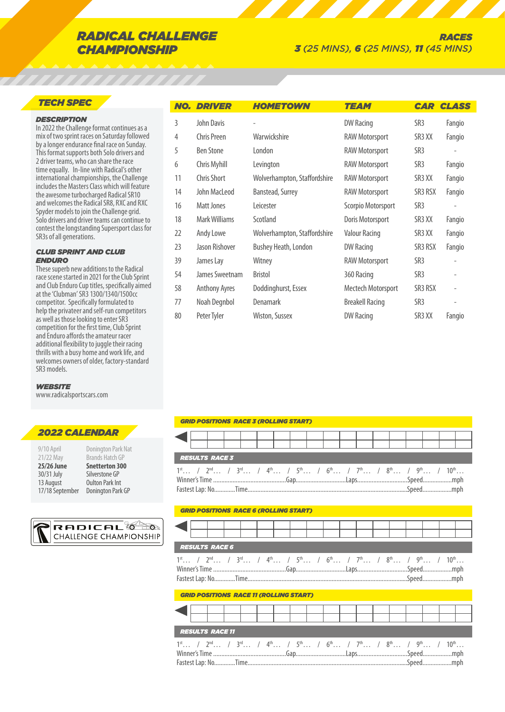# *RADICAL CHALLENGE CHAMPIONSHIP*

# *TECH SPEC*

# *DESCRIPTION*

In 2022 the Challenge format continues as a mix of two sprint races on Saturday followed by a longer endurance final race on Sunday. This format supports both Solo drivers and 2 driver teams, who can share the race time equally. In-line with Radical's other international championships, the Challenge includes the Masters Class which will feature the awesome turbocharged Radical SR10 and welcomes the Radical SR8, RXC and RXC Spyder models to join the Challenge grid. Solo drivers and driver teams can continue to contest the longstanding Supersport class for SR3s of all generations.

#### *CLUB SPRINT AND CLUB ENDURO*

These superb new additions to the Radical race scene started in 2021 for the Club Sprint and Club Enduro Cup titles, specifically aimed at the 'Clubman' SR3 1300/1340/1500cc competitor. Specifically formulated to help the privateer and self-run competitors as well as those looking to enter SR3 competition for the first time, Club Sprint and Enduro affords the amateur racer additional flexibility to juggle their racing thrills with a busy home and work life, and welcomes owners of older, factory-standard SR3 models.

#### *WEBSITE*

www.radicalsportscars.com

# *2022 CALENDAR*

| 9/10 April<br>21/22 May | Donington Park Nat<br><b>Brands Hatch GP</b> |
|-------------------------|----------------------------------------------|
| 25/26 June              | <b>Snetterton 300</b>                        |
| 30/31 July              | Silverstone GP                               |
| 13 August               | <b>Oulton Park Int</b>                       |
| 17/18 September         | Donington Park GP                            |



|    | <b>NO. DRIVER</b>    | <b>HOMETOWN</b>              | <b>TEAM</b>            | <b>CAR</b>         | <b>CLASS</b>             |
|----|----------------------|------------------------------|------------------------|--------------------|--------------------------|
| 3  | John Davis           |                              | <b>DW Racing</b>       | SR <sub>3</sub>    | Fangio                   |
| 4  | Chris Preen          | Warwickshire                 | <b>RAW Motorsport</b>  | SR <sub>3</sub> XX | Fangio                   |
| 5  | <b>Ben Stone</b>     | London                       | <b>RAW Motorsport</b>  | SR <sub>3</sub>    |                          |
| 6  | Chris Myhill         | Levington                    | <b>RAW Motorsport</b>  | SR <sub>3</sub>    | Fangio                   |
| 11 | Chris Short          | Wolverhampton, Staffordshire | <b>RAW Motorsport</b>  | SR3 XX             | Fangio                   |
| 14 | John MacLeod         | Banstead, Surrey             | <b>RAW Motorsport</b>  | SR3 RSX            | Fangio                   |
| 16 | Matt Jones           | Leicester                    | Scorpio Motorsport     | SR <sub>3</sub>    | ٠                        |
| 18 | Mark Williams        | Scotland                     | Doris Motorsport       | SR <sub>3</sub> XX | Fangio                   |
| 22 | Andy Lowe            | Wolverhampton, Staffordshire | <b>Valour Racing</b>   | SR3 XX             | Fangio                   |
| 23 | Jason Rishover       | Bushey Heath, London         | DW Racing              | SR3 RSX            | Fangio                   |
| 39 | James Lay            | Witney                       | <b>RAW Motorsport</b>  | SR <sub>3</sub>    |                          |
| 54 | James Sweetnam       | Bristol                      | 360 Racing             | SR <sub>3</sub>    | $\overline{\phantom{m}}$ |
| 58 | <b>Anthony Ayres</b> | Doddinghurst, Essex          | Mectech Motorsport     | SR3 RSX            | ٠                        |
| 77 | Noah Degnbol         | <b>Denamark</b>              | <b>Breakell Racing</b> | SR <sub>3</sub>    | $\overline{a}$           |
| 80 | Peter Tyler          | Wiston, Sussex               | <b>DW Racing</b>       | SR <sub>3</sub> XX | Fangio                   |

#### *GRID POSITIONS RACE 3 (ROLLING START)*

|  | <b>RESULTS RACE 3</b>                                                                                                                                                              |  |  |  |  |  |  |  |  |  |  |
|--|------------------------------------------------------------------------------------------------------------------------------------------------------------------------------------|--|--|--|--|--|--|--|--|--|--|
|  | $1^{\text{st}}$ / $2^{\text{nd}}$ / $3^{\text{rd}}$ / $4^{\text{th}}$ / $5^{\text{th}}$ / $6^{\text{th}}$ / $7^{\text{th}}$ / $8^{\text{th}}$ / $9^{\text{th}}$ / $10^{\text{th}}$ |  |  |  |  |  |  |  |  |  |  |
|  | Winner's Time ……………………………………………Gap…………………………Laps………………………………Speed…………………mph                                                                                                        |  |  |  |  |  |  |  |  |  |  |
|  |                                                                                                                                                                                    |  |  |  |  |  |  |  |  |  |  |
|  |                                                                                                                                                                                    |  |  |  |  |  |  |  |  |  |  |

#### *GRID POSITIONS RACE 6 (ROLLING START)*

|  | <b>RESULTS RACE 6</b> |  |  |  |  |  |  |  |  |
|--|-----------------------|--|--|--|--|--|--|--|--|

|  |  |  |  |  |  |  |  |  | $1^{st}$ / $2^{nd}$ / $3^{rd}$ / $4^{th}$ / $5^{th}$ / $6^{th}$ / $7^{th}$ / $8^{th}$ / $9^{th}$ / $10^{th}$ |
|--|--|--|--|--|--|--|--|--|--------------------------------------------------------------------------------------------------------------|
|  |  |  |  |  |  |  |  |  |                                                                                                              |
|  |  |  |  |  |  |  |  |  |                                                                                                              |

# *GRID POSITIONS RACE 11 (ROLLING START)*

|  | <b>RESULTS RACE 11</b>                                                                                                                                                             |  |  |  |  |  |  |  |  |  |
|--|------------------------------------------------------------------------------------------------------------------------------------------------------------------------------------|--|--|--|--|--|--|--|--|--|
|  | $1^{\text{st}}$ / $2^{\text{nd}}$ / $3^{\text{rd}}$ / $4^{\text{th}}$ / $5^{\text{th}}$ / $6^{\text{th}}$ / $7^{\text{th}}$ / $8^{\text{th}}$ / $9^{\text{th}}$ / $10^{\text{th}}$ |  |  |  |  |  |  |  |  |  |
|  | Winner's Time …………………………………………Gap……………………………Laps……………………………Speed………………mph                                                                                                          |  |  |  |  |  |  |  |  |  |
|  |                                                                                                                                                                                    |  |  |  |  |  |  |  |  |  |
|  |                                                                                                                                                                                    |  |  |  |  |  |  |  |  |  |